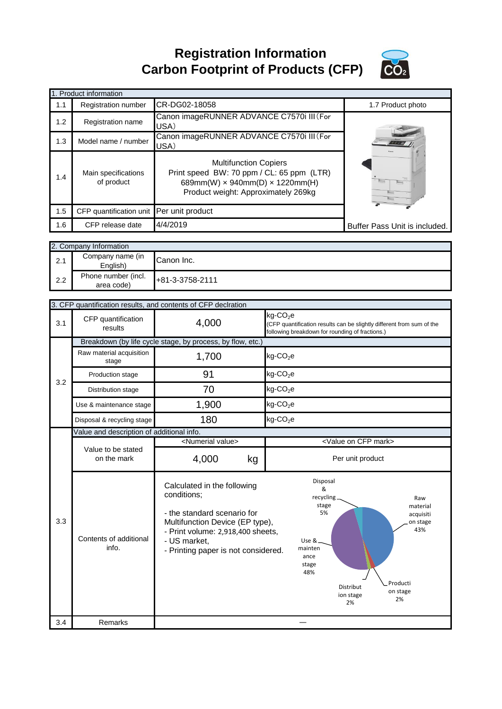**Registration Information Carbon Footprint of Products (CFP)**



|     | 1. Product information                   |                                                                                                                                                                   |                               |
|-----|------------------------------------------|-------------------------------------------------------------------------------------------------------------------------------------------------------------------|-------------------------------|
| 1.1 | <b>Registration number</b>               | CR-DG02-18058                                                                                                                                                     | 1.7 Product photo             |
| 1.2 | Registration name                        | Canon imageRUNNER ADVANCE C7570i III (For<br>USA)                                                                                                                 |                               |
| 1.3 | Model name / number                      | Canon imageRUNNER ADVANCE C7570i III (For<br>USA)                                                                                                                 |                               |
| 1.4 | Main specifications<br>of product        | <b>Multifunction Copiers</b><br>Print speed BW: 70 ppm / CL: 65 ppm (LTR)<br>689mm(W) $\times$ 940mm(D) $\times$ 1220mm(H)<br>Product weight: Approximately 269kg |                               |
| 1.5 | CFP quantification unit Per unit product |                                                                                                                                                                   |                               |
| 1.6 | CFP release date                         | 4/4/2019                                                                                                                                                          | Buffer Pass Unit is included. |

|     | 2. Company Information            |                 |
|-----|-----------------------------------|-----------------|
| 2.1 | Company name (in<br>English)      | Canon Inc.      |
| 2.2 | Phone number (incl.<br>area code) | +81-3-3758-2111 |

|     |                                           | 3. CFP quantification results, and contents of CFP declration                                                                                                                                            |                                                                                                                                                                                                          |
|-----|-------------------------------------------|----------------------------------------------------------------------------------------------------------------------------------------------------------------------------------------------------------|----------------------------------------------------------------------------------------------------------------------------------------------------------------------------------------------------------|
| 3.1 | CFP quantification<br>results             | 4,000                                                                                                                                                                                                    | $kg$ -CO <sub>2</sub> e<br>(CFP quantification results can be slightly different from sum of the<br>following breakdown for rounding of fractions.)                                                      |
|     |                                           | Breakdown (by life cycle stage, by process, by flow, etc.)                                                                                                                                               |                                                                                                                                                                                                          |
|     | Raw material acquisition<br>stage         | 1,700                                                                                                                                                                                                    | $kg$ -CO <sub>2</sub> e                                                                                                                                                                                  |
| 3.2 | Production stage                          | 91                                                                                                                                                                                                       | $kg$ -CO <sub>2</sub> e                                                                                                                                                                                  |
|     | Distribution stage                        | 70                                                                                                                                                                                                       | $kg$ -CO <sub>2</sub> e                                                                                                                                                                                  |
|     | Use & maintenance stage                   | 1,900                                                                                                                                                                                                    | $kg$ -CO <sub>2</sub> e                                                                                                                                                                                  |
|     | Disposal & recycling stage                | 180                                                                                                                                                                                                      | $kg$ -CO <sub>2</sub> e                                                                                                                                                                                  |
|     | Value and description of additional info. |                                                                                                                                                                                                          |                                                                                                                                                                                                          |
|     |                                           | <numerial value=""></numerial>                                                                                                                                                                           | <value cfp="" mark="" on=""></value>                                                                                                                                                                     |
|     | Value to be stated<br>on the mark         | 4,000<br>kg                                                                                                                                                                                              | Per unit product                                                                                                                                                                                         |
| 3.3 | Contents of additional<br>info.           | Calculated in the following<br>conditions;<br>- the standard scenario for<br>Multifunction Device (EP type),<br>- Print volume: 2,918,400 sheets,<br>- US market,<br>- Printing paper is not considered. | Disposal<br>&<br>recycling_<br>Raw<br>stage<br>material<br>5%<br>acquisiti<br>on stage<br>43%<br>Use &_<br>mainten<br>ance<br>stage<br>48%<br>Producti<br>Distribut<br>on stage<br>ion stage<br>2%<br>2% |
| 3.4 | Remarks                                   |                                                                                                                                                                                                          |                                                                                                                                                                                                          |